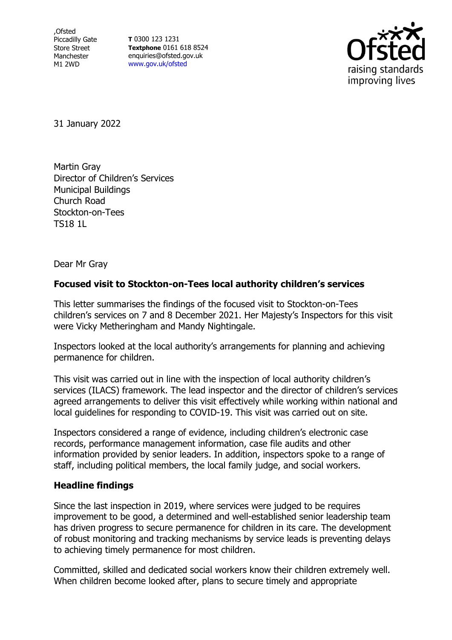,Ofsted Piccadilly Gate Store Street Manchester M1 2WD

**T** 0300 123 1231 **Textphone** 0161 618 8524 enquiries@ofsted.gov.uk [www.gov.uk/ofsted](http://www.gov.uk/ofsted)



31 January 2022

Martin Gray Director of Children's Services Municipal Buildings Church Road Stockton-on-Tees TS18 1L

Dear Mr Gray

## **Focused visit to Stockton-on-Tees local authority children's services**

This letter summarises the findings of the focused visit to Stockton-on-Tees children's services on 7 and 8 December 2021. Her Majesty's Inspectors for this visit were Vicky Metheringham and Mandy Nightingale.

Inspectors looked at the local authority's arrangements for planning and achieving permanence for children.

This visit was carried out in line with the inspection of local authority children's services (ILACS) framework. The lead inspector and the director of children's services agreed arrangements to deliver this visit effectively while working within national and local guidelines for responding to COVID-19. This visit was carried out on site.

Inspectors considered a range of evidence, including children's electronic case records, performance management information, case file audits and other information provided by senior leaders. In addition, inspectors spoke to a range of staff, including political members, the local family judge, and social workers.

## **Headline findings**

Since the last inspection in 2019, where services were judged to be requires improvement to be good, a determined and well-established senior leadership team has driven progress to secure permanence for children in its care. The development of robust monitoring and tracking mechanisms by service leads is preventing delays to achieving timely permanence for most children.

Committed, skilled and dedicated social workers know their children extremely well. When children become looked after, plans to secure timely and appropriate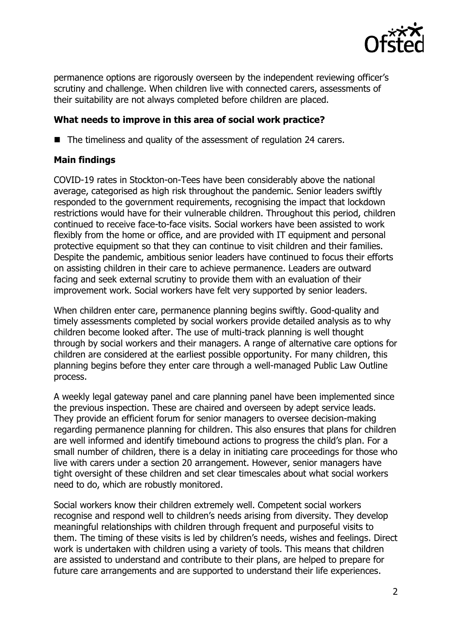

permanence options are rigorously overseen by the independent reviewing officer's scrutiny and challenge. When children live with connected carers, assessments of their suitability are not always completed before children are placed.

## **What needs to improve in this area of social work practice?**

■ The timeliness and quality of the assessment of regulation 24 carers.

## **Main findings**

COVID-19 rates in Stockton-on-Tees have been considerably above the national average, categorised as high risk throughout the pandemic. Senior leaders swiftly responded to the government requirements, recognising the impact that lockdown restrictions would have for their vulnerable children. Throughout this period, children continued to receive face-to-face visits. Social workers have been assisted to work flexibly from the home or office, and are provided with IT equipment and personal protective equipment so that they can continue to visit children and their families. Despite the pandemic, ambitious senior leaders have continued to focus their efforts on assisting children in their care to achieve permanence. Leaders are outward facing and seek external scrutiny to provide them with an evaluation of their improvement work. Social workers have felt very supported by senior leaders.

When children enter care, permanence planning begins swiftly. Good-quality and timely assessments completed by social workers provide detailed analysis as to why children become looked after. The use of multi-track planning is well thought through by social workers and their managers. A range of alternative care options for children are considered at the earliest possible opportunity. For many children, this planning begins before they enter care through a well-managed Public Law Outline process.

A weekly legal gateway panel and care planning panel have been implemented since the previous inspection. These are chaired and overseen by adept service leads. They provide an efficient forum for senior managers to oversee decision-making regarding permanence planning for children. This also ensures that plans for children are well informed and identify timebound actions to progress the child's plan. For a small number of children, there is a delay in initiating care proceedings for those who live with carers under a section 20 arrangement. However, senior managers have tight oversight of these children and set clear timescales about what social workers need to do, which are robustly monitored.

Social workers know their children extremely well. Competent social workers recognise and respond well to children's needs arising from diversity. They develop meaningful relationships with children through frequent and purposeful visits to them. The timing of these visits is led by children's needs, wishes and feelings. Direct work is undertaken with children using a variety of tools. This means that children are assisted to understand and contribute to their plans, are helped to prepare for future care arrangements and are supported to understand their life experiences.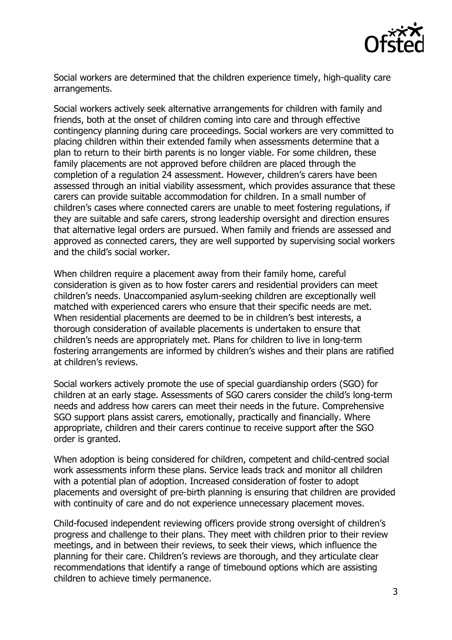

Social workers are determined that the children experience timely, high-quality care arrangements.

Social workers actively seek alternative arrangements for children with family and friends, both at the onset of children coming into care and through effective contingency planning during care proceedings. Social workers are very committed to placing children within their extended family when assessments determine that a plan to return to their birth parents is no longer viable. For some children, these family placements are not approved before children are placed through the completion of a regulation 24 assessment. However, children's carers have been assessed through an initial viability assessment, which provides assurance that these carers can provide suitable accommodation for children. In a small number of children's cases where connected carers are unable to meet fostering regulations, if they are suitable and safe carers, strong leadership oversight and direction ensures that alternative legal orders are pursued. When family and friends are assessed and approved as connected carers, they are well supported by supervising social workers and the child's social worker.

When children require a placement away from their family home, careful consideration is given as to how foster carers and residential providers can meet children's needs. Unaccompanied asylum-seeking children are exceptionally well matched with experienced carers who ensure that their specific needs are met. When residential placements are deemed to be in children's best interests, a thorough consideration of available placements is undertaken to ensure that children's needs are appropriately met. Plans for children to live in long-term fostering arrangements are informed by children's wishes and their plans are ratified at children's reviews.

Social workers actively promote the use of special guardianship orders (SGO) for children at an early stage. Assessments of SGO carers consider the child's long-term needs and address how carers can meet their needs in the future. Comprehensive SGO support plans assist carers, emotionally, practically and financially. Where appropriate, children and their carers continue to receive support after the SGO order is granted.

When adoption is being considered for children, competent and child-centred social work assessments inform these plans. Service leads track and monitor all children with a potential plan of adoption. Increased consideration of foster to adopt placements and oversight of pre-birth planning is ensuring that children are provided with continuity of care and do not experience unnecessary placement moves.

Child-focused independent reviewing officers provide strong oversight of children's progress and challenge to their plans. They meet with children prior to their review meetings, and in between their reviews, to seek their views, which influence the planning for their care. Children's reviews are thorough, and they articulate clear recommendations that identify a range of timebound options which are assisting children to achieve timely permanence.